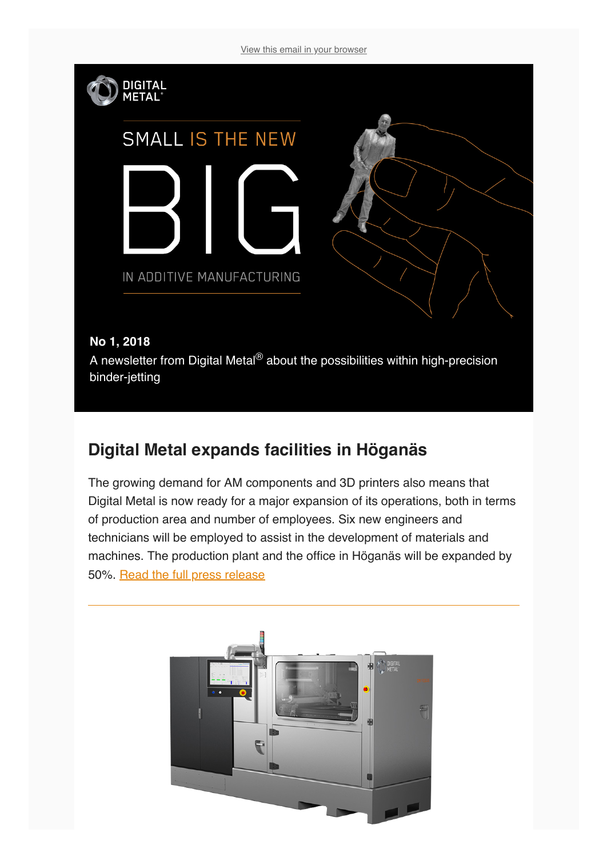[View this email in your browser](https://mailchi.mp/36435480b13f/meet-the-new-digital-metal-at-tct-1657805?e=[UNIQID])



## **Digital Metal expands facilities in Höganäs**

The growing demand for AM components and 3D printers also means that Digital Metal is now ready for a major expansion of its operations, both in terms of production area and number of employees. Six new engineers and technicians will be employed to assist in the development of materials and machines. The production plant and the office in Höganäs will be expanded by 50%. [Read the full press release](https://digitalmetal.tech/news-and-media/news-flow/)

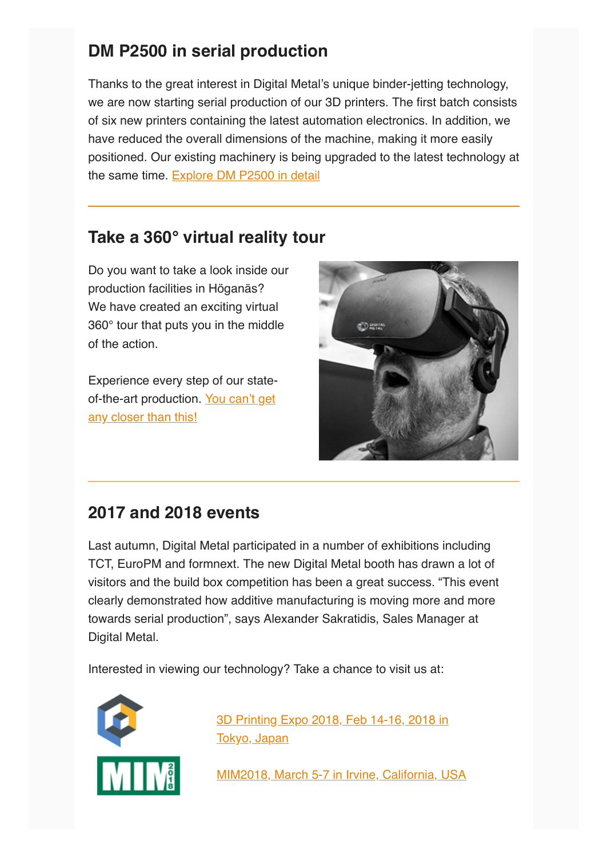## **DM P2500 in serial production**

Thanks to the great interest in Digital Metal's unique binder-jetting technology, we are now starting serial production of our 3D printers. The first batch consists of six new printers containing the latest automation electronics. In addition, we have reduced the overall dimensions of the machine, making it more easily positioned. Our existing machinery is being upgraded to the latest technology at the same time. [Explore DM P2500 in detail](https://digitalmetal.tech/machines/machines/)

## **Take a 360° virtual reality tour**

Do you want to take a look inside our production facilities in Höganäs? We have created an exciting virtual 360° tour that puts you in the middle of the action.

Experience every step of our state[of-the-art production. You can't get](https://digitalmetal.tech/home-digital-metal/visit-production/) any closer than this!



## **2017 and 2018 events**

Last autumn, Digital Metal participated in a number of exhibitions including TCT, EuroPM and formnext. The new Digital Metal booth has drawn a lot of visitors and the build box competition has been a great success. "This event clearly demonstrated how additive manufacturing is moving more and more towards serial production", says Alexander Sakratidis, Sales Manager at Digital Metal.

Interested in viewing our technology? Take a chance to visit us at:



[3D Printing Expo 2018, Feb 14-16, 2018 in](http://www.3dprintingexpo.jp/index_en.html) Tokyo, Japan

[MIM2018, March 5-7 in Irvine, California, USA](https://www.mpif.org/meetings/2018/mim2018/index.asp)